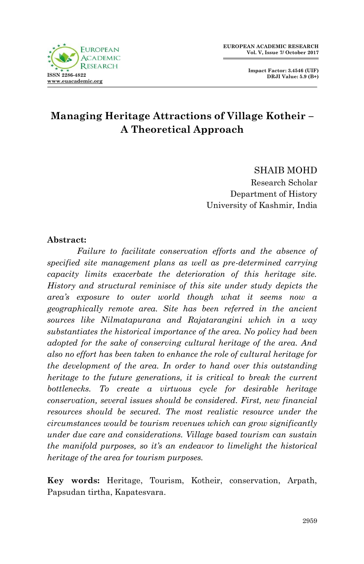**Impact Factor: 3.4546 (UIF) DRJI Value: 5.9 (B+)**



# **Managing Heritage Attractions of Village Kotheir – A Theoretical Approach**

SHAIB MOHD Research Scholar Department of History University of Kashmir, India

#### **Abstract:**

*Failure to facilitate conservation efforts and the absence of specified site management plans as well as pre-determined carrying capacity limits exacerbate the deterioration of this heritage site. History and structural reminisce of this site under study depicts the area's exposure to outer world though what it seems now a geographically remote area. Site has been referred in the ancient sources like Nilmatapurana and Rajatarangini which in a way substantiates the historical importance of the area. No policy had been adopted for the sake of conserving cultural heritage of the area. And also no effort has been taken to enhance the role of cultural heritage for the development of the area. In order to hand over this outstanding heritage to the future generations, it is critical to break the current bottlenecks. To create a virtuous cycle for desirable heritage conservation, several issues should be considered. First, new financial resources should be secured. The most realistic resource under the circumstances would be tourism revenues which can grow significantly under due care and considerations. Village based tourism can sustain the manifold purposes, so it's an endeavor to limelight the historical heritage of the area for tourism purposes.* 

**Key words:** Heritage, Tourism, Kotheir, conservation, Arpath, Papsudan tirtha, Kapatesvara.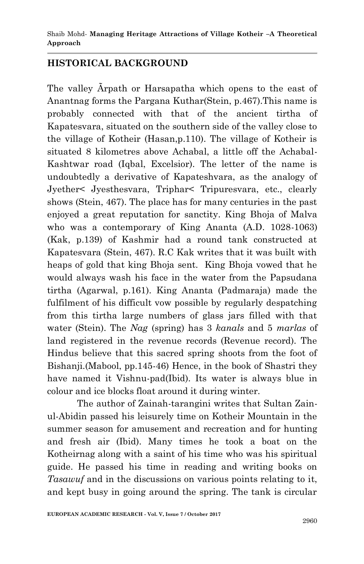## **HISTORICAL BACKGROUND**

The valley Ãrpath or Harsapatha which opens to the east of Anantnag forms the Pargana Kuthar(Stein, p.467).This name is probably connected with that of the ancient tirtha of Kapatesvara, situated on the southern side of the valley close to the village of Kotheir (Hasan,p.110). The village of Kotheir is situated 8 kilometres above Achabal, a little off the Achabal-Kashtwar road (Iqbal, Excelsior). The letter of the name is undoubtedly a derivative of Kapateshvara, as the analogy of Jyether< Jyesthesvara, Triphar< Tripuresvara, etc., clearly shows (Stein, 467). The place has for many centuries in the past enjoyed a great reputation for sanctity. King Bhoja of Malva who was a contemporary of King Ananta (A.D. 1028-1063) (Kak, p.139) of Kashmir had a round tank constructed at Kapatesvara (Stein, 467). R.C Kak writes that it was built with heaps of gold that king Bhoja sent. King Bhoja vowed that he would always wash his face in the water from the Papsudana tirtha (Agarwal, p.161). King Ananta (Padmaraja) made the fulfilment of his difficult vow possible by regularly despatching from this tirtha large numbers of glass jars filled with that water (Stein). The *Nag* (spring) has 3 *kanals* and 5 *marlas* of land registered in the revenue records (Revenue record). The Hindus believe that this sacred spring shoots from the foot of Bishanji.(Mabool, pp.145-46) Hence, in the book of Shastri they have named it Vishnu-pad(Ibid). Its water is always blue in colour and ice blocks float around it during winter.

The author of Zainah-tarangini writes that Sultan Zainul-Abidin passed his leisurely time on Kotheir Mountain in the summer season for amusement and recreation and for hunting and fresh air (Ibid). Many times he took a boat on the Kotheirnag along with a saint of his time who was his spiritual guide. He passed his time in reading and writing books on *Tasawuf* and in the discussions on various points relating to it, and kept busy in going around the spring. The tank is circular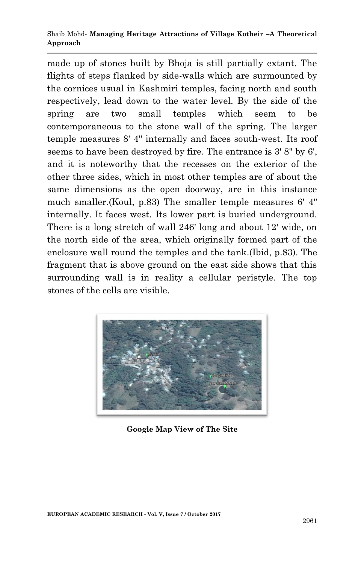#### Shaib Mohd*-* **Managing Heritage Attractions of Village Kotheir –A Theoretical Approach**

made up of stones built by Bhoja is still partially extant. The flights of steps flanked by side-walls which are surmounted by the cornices usual in Kashmiri temples, facing north and south respectively, lead down to the water level. By the side of the spring are two small temples which seem to be contemporaneous to the stone wall of the spring. The larger temple measures 8' 4" internally and faces south-west. Its roof seems to have been destroyed by fire. The entrance is 3' 8" by 6', and it is noteworthy that the recesses on the exterior of the other three sides, which in most other temples are of about the same dimensions as the open doorway, are in this instance much smaller.(Koul, p.83) The smaller temple measures 6' 4" internally. It faces west. Its lower part is buried underground. There is a long stretch of wall 246' long and about 12' wide, on the north side of the area, which originally formed part of the enclosure wall round the temples and the tank.(Ibid, p.83). The fragment that is above ground on the east side shows that this surrounding wall is in reality a cellular peristyle. The top stones of the cells are visible.



**Google Map View of The Site**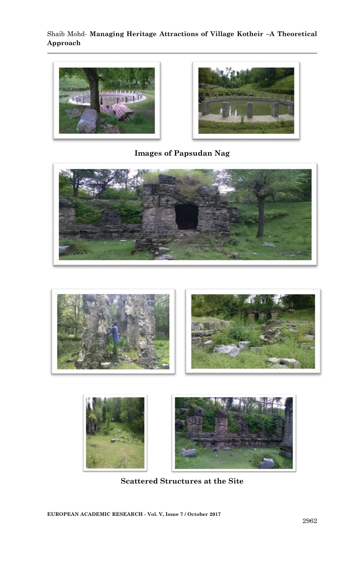#### Shaib Mohd*-* **Managing Heritage Attractions of Village Kotheir –A Theoretical Approach**





**Images of Papsudan Nag**







**Scattered Structures at the Site**

**EUROPEAN ACADEMIC RESEARCH - Vol. V, Issue 7 / October 2017**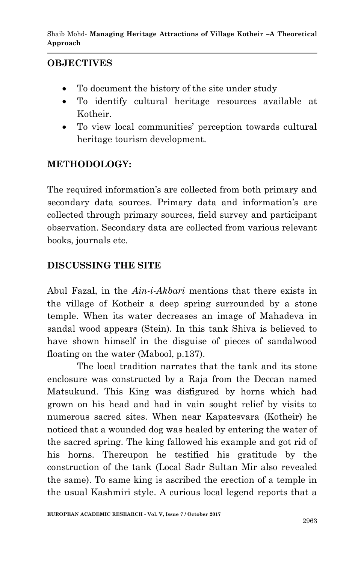## **OBJECTIVES**

- To document the history of the site under study
- To identify cultural heritage resources available at Kotheir.
- To view local communities' perception towards cultural heritage tourism development.

## **METHODOLOGY:**

The required information's are collected from both primary and secondary data sources. Primary data and information's are collected through primary sources, field survey and participant observation. Secondary data are collected from various relevant books, journals etc.

## **DISCUSSING THE SITE**

Abul Fazal, in the *Ain-i-Akbari* mentions that there exists in the village of Kotheir a deep spring surrounded by a stone temple. When its water decreases an image of Mahadeva in sandal wood appears (Stein). In this tank Shiva is believed to have shown himself in the disguise of pieces of sandalwood floating on the water (Mabool, p.137).

The local tradition narrates that the tank and its stone enclosure was constructed by a Raja from the Deccan named Matsukund. This King was disfigured by horns which had grown on his head and had in vain sought relief by visits to numerous sacred sites. When near Kapatesvara (Kotheir) he noticed that a wounded dog was healed by entering the water of the sacred spring. The king fallowed his example and got rid of his horns. Thereupon he testified his gratitude by the construction of the tank (Local Sadr Sultan Mir also revealed the same). To same king is ascribed the erection of a temple in the usual Kashmiri style. A curious local legend reports that a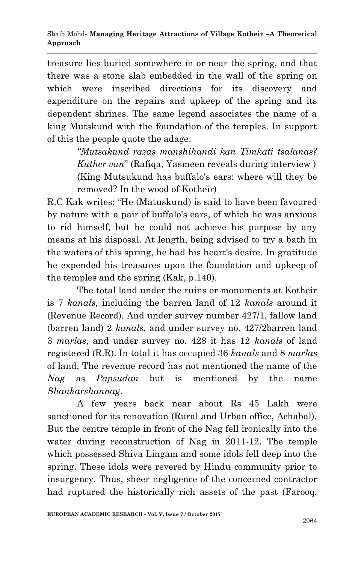treasure lies buried somewhere in or near the spring, and that there was a stone slab embedded in the wall of the spring on which were inscribed directions for its discovery and expenditure on the repairs and upkeep of the spring and its dependent shrines. The same legend associates the name of a king Mutskund with the foundation of the temples. In support of this the people quote the adage:

> *"Mutsakund razas manshihandi kan Timkati tsalanas? Kuther van*" (Rafiqa, Yasmeen reveals during interview ) (King Mutsukund has buffalo's ears: where will they be removed? In the wood of Kotheir)

R.C Kak writes: "He (Matuskund) is said to have been favoured by nature with a pair of buffalo's ears, of which he was anxious to rid himself, but he could not achieve his purpose by any means at his disposal. At length, being advised to try a bath in the waters of this spring, he had his heart's desire. In gratitude he expended his treasures upon the foundation and upkeep of the temples and the spring (Kak, p.140).

The total land under the ruins or monuments at Kotheir is 7 *kanals,* including the barren land of 12 *kanals* around it (Revenue Record). And under survey number 427/1, fallow land (barren land) 2 *kanals*, and under survey no. 427/2barren land 3 *marlas*, and under survey no. 428 it has 12 *kanals* of land registered (R.R). In total it has occupied 36 *kanals* and 8 *marlas* of land. The revenue record has not mentioned the name of the *Nag* as *Papsudan* but is mentioned by the name *Shankarshannag*.

A few years back near about Rs 45 Lakh were sanctioned for its renovation (Rural and Urban office, Achabal). But the centre temple in front of the Nag fell ironically into the water during reconstruction of Nag in 2011-12. The temple which possessed Shiva Lingam and some idols fell deep into the spring. These idols were revered by Hindu community prior to insurgency. Thus, sheer negligence of the concerned contractor had ruptured the historically rich assets of the past (Farooq,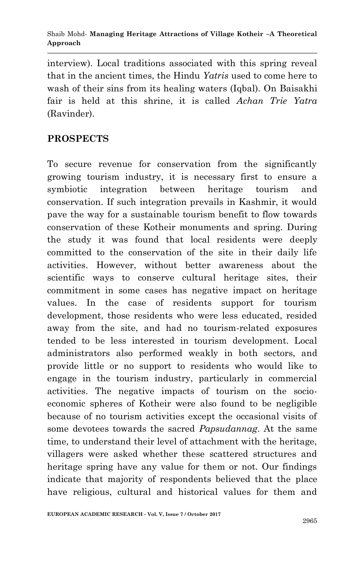interview). Local traditions associated with this spring reveal that in the ancient times, the Hindu *Yatris* used to come here to wash of their sins from its healing waters (Iqbal). On Baisakhi fair is held at this shrine, it is called *Achan Trie Yatra*  (Ravinder).

### **PROSPECTS**

To secure revenue for conservation from the significantly growing tourism industry, it is necessary first to ensure a symbiotic integration between heritage tourism and conservation. If such integration prevails in Kashmir, it would pave the way for a sustainable tourism benefit to flow towards conservation of these Kotheir monuments and spring. During the study it was found that local residents were deeply committed to the conservation of the site in their daily life activities. However, without better awareness about the scientific ways to conserve cultural heritage sites, their commitment in some cases has negative impact on heritage values. In the case of residents support for tourism development, those residents who were less educated, resided away from the site, and had no tourism-related exposures tended to be less interested in tourism development. Local administrators also performed weakly in both sectors, and provide little or no support to residents who would like to engage in the tourism industry, particularly in commercial activities. The negative impacts of tourism on the socioeconomic spheres of Kotheir were also found to be negligible because of no tourism activities except the occasional visits of some devotees towards the sacred *Papsudannag*. At the same time, to understand their level of attachment with the heritage, villagers were asked whether these scattered structures and heritage spring have any value for them or not. Our findings indicate that majority of respondents believed that the place have religious, cultural and historical values for them and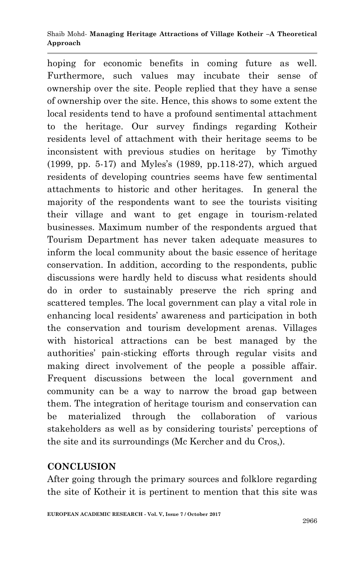#### Shaib Mohd*-* **Managing Heritage Attractions of Village Kotheir –A Theoretical Approach**

hoping for economic benefits in coming future as well. Furthermore, such values may incubate their sense of ownership over the site. People replied that they have a sense of ownership over the site. Hence, this shows to some extent the local residents tend to have a profound sentimental attachment to the heritage. Our survey findings regarding Kotheir residents level of attachment with their heritage seems to be inconsistent with previous studies on heritage by Timothy (1999, pp. 5-17) and Myles's (1989, pp.118-27), which argued residents of developing countries seems have few sentimental attachments to historic and other heritages. In general the majority of the respondents want to see the tourists visiting their village and want to get engage in tourism-related businesses. Maximum number of the respondents argued that Tourism Department has never taken adequate measures to inform the local community about the basic essence of heritage conservation. In addition, according to the respondents, public discussions were hardly held to discuss what residents should do in order to sustainably preserve the rich spring and scattered temples. The local government can play a vital role in enhancing local residents' awareness and participation in both the conservation and tourism development arenas. Villages with historical attractions can be best managed by the authorities' pain-sticking efforts through regular visits and making direct involvement of the people a possible affair. Frequent discussions between the local government and community can be a way to narrow the broad gap between them. The integration of heritage tourism and conservation can be materialized through the collaboration of various stakeholders as well as by considering tourists' perceptions of the site and its surroundings (Mc Kercher and du Cros,).

## **CONCLUSION**

After going through the primary sources and folklore regarding the site of Kotheir it is pertinent to mention that this site was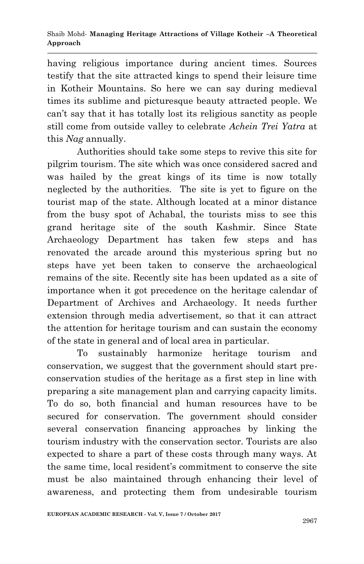having religious importance during ancient times. Sources testify that the site attracted kings to spend their leisure time in Kotheir Mountains. So here we can say during medieval times its sublime and picturesque beauty attracted people. We can't say that it has totally lost its religious sanctity as people still come from outside valley to celebrate *Achein Trei Yatra* at this *Nag* annually.

Authorities should take some steps to revive this site for pilgrim tourism. The site which was once considered sacred and was hailed by the great kings of its time is now totally neglected by the authorities. The site is yet to figure on the tourist map of the state. Although located at a minor distance from the busy spot of Achabal, the tourists miss to see this grand heritage site of the south Kashmir. Since State Archaeology Department has taken few steps and has renovated the arcade around this mysterious spring but no steps have yet been taken to conserve the archaeological remains of the site. Recently site has been updated as a site of importance when it got precedence on the heritage calendar of Department of Archives and Archaeology. It needs further extension through media advertisement, so that it can attract the attention for heritage tourism and can sustain the economy of the state in general and of local area in particular.

To sustainably harmonize heritage tourism and conservation, we suggest that the government should start preconservation studies of the heritage as a first step in line with preparing a site management plan and carrying capacity limits. To do so, both financial and human resources have to be secured for conservation. The government should consider several conservation financing approaches by linking the tourism industry with the conservation sector. Tourists are also expected to share a part of these costs through many ways. At the same time, local resident's commitment to conserve the site must be also maintained through enhancing their level of awareness, and protecting them from undesirable tourism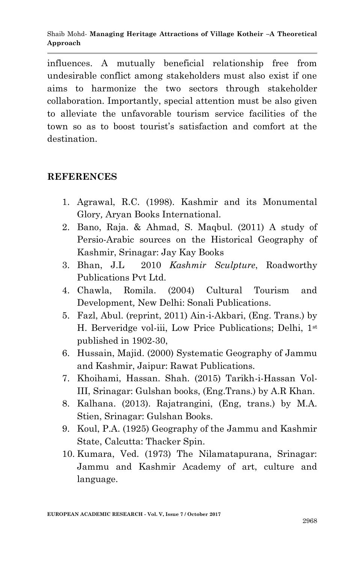influences. A mutually beneficial relationship free from undesirable conflict among stakeholders must also exist if one aims to harmonize the two sectors through stakeholder collaboration. Importantly, special attention must be also given to alleviate the unfavorable tourism service facilities of the town so as to boost tourist's satisfaction and comfort at the destination.

#### **REFERENCES**

- 1. Agrawal, R.C. (1998). Kashmir and its Monumental Glory*,* Aryan Books International.
- 2. Bano, Raja. & Ahmad, S. Maqbul. (2011) A study of Persio-Arabic sources on the Historical Geography of Kashmir, Srinagar: Jay Kay Books
- 3. Bhan, J.L 2010 *Kashmir Sculpture*, Roadworthy Publications Pvt Ltd.
- 4. Chawla, Romila. (2004) Cultural Tourism and Development*,* New Delhi: Sonali Publications.
- 5. Fazl, Abul. (reprint, 2011) Ain-i-Akbari, (Eng. Trans.) by H. Berveridge vol-iii, Low Price Publications; Delhi, 1st published in 1902-30,
- 6. Hussain, Majid. (2000) Systematic Geography of Jammu and Kashmir, Jaipur: Rawat Publications.
- 7. Khoihami, Hassan. Shah. (2015) Tarikh-i-Hassan Vol-III, Srinagar: Gulshan books, (Eng.Trans.) by A.R Khan.
- 8. Kalhana. (2013). Rajatrangini, (Eng, trans.) by M.A. Stien, Srinagar: Gulshan Books.
- 9. Koul, P.A. (1925) Geography of the Jammu and Kashmir State, Calcutta: Thacker Spin.
- 10. Kumara, Ved. (1973) The Nilamatapurana, Srinagar: Jammu and Kashmir Academy of art, culture and language.